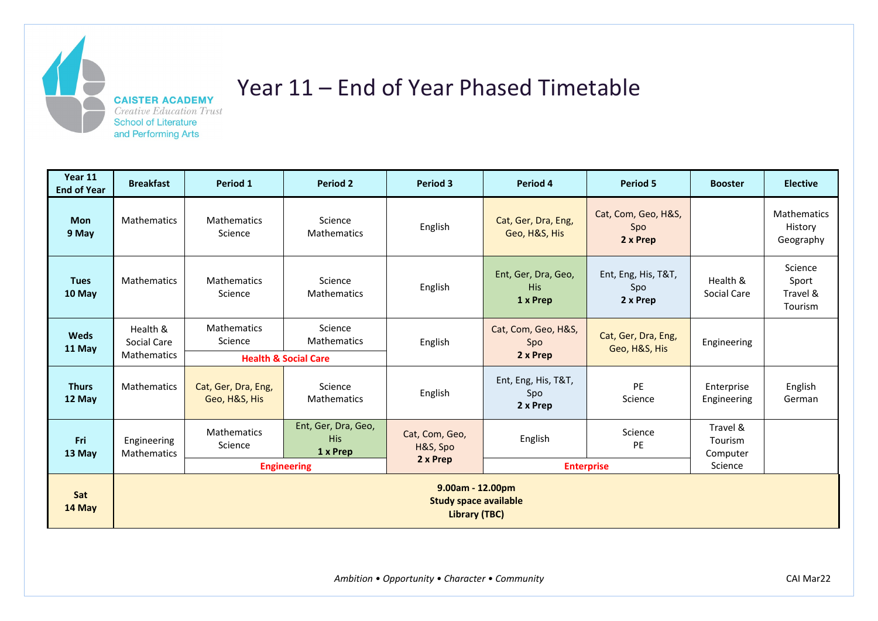

## Year 11 – End of Year Phased Timetable

| Year 11<br><b>End of Year</b> | <b>Breakfast</b>                                                                                                    | Period 1                             | <b>Period 2</b>                                                  | <b>Period 3</b>                        | Period 4                                      | <b>Period 5</b>                        | <b>Booster</b>                             | <b>Elective</b>                            |
|-------------------------------|---------------------------------------------------------------------------------------------------------------------|--------------------------------------|------------------------------------------------------------------|----------------------------------------|-----------------------------------------------|----------------------------------------|--------------------------------------------|--------------------------------------------|
| <b>Mon</b><br>9 May           | <b>Mathematics</b>                                                                                                  | <b>Mathematics</b><br>Science        | Science<br><b>Mathematics</b>                                    | English                                | Cat, Ger, Dra, Eng,<br>Geo, H&S, His          | Cat, Com, Geo, H&S,<br>Spo<br>2 x Prep |                                            | <b>Mathematics</b><br>History<br>Geography |
| <b>Tues</b><br>10 May         | <b>Mathematics</b>                                                                                                  | <b>Mathematics</b><br>Science        | Science<br><b>Mathematics</b>                                    | English                                | Ent, Ger, Dra, Geo,<br><b>His</b><br>1 x Prep | Ent, Eng, His, T&T,<br>Spo<br>2 x Prep | Health &<br>Social Care                    | Science<br>Sport<br>Travel &<br>Tourism    |
| <b>Weds</b><br>11 May         | Health &<br>Social Care<br><b>Mathematics</b>                                                                       | Mathematics<br>Science               | Science<br><b>Mathematics</b><br><b>Health &amp; Social Care</b> | English                                | Cat, Com, Geo, H&S,<br>Spo<br>2 x Prep        | Cat, Ger, Dra, Eng,<br>Geo, H&S, His   | Engineering                                |                                            |
| <b>Thurs</b><br>12 May        | <b>Mathematics</b>                                                                                                  | Cat, Ger, Dra, Eng,<br>Geo, H&S, His | Science<br><b>Mathematics</b>                                    | English                                | Ent, Eng, His, T&T,<br>Spo<br>2 x Prep        | PE<br>Science                          | Enterprise<br>Engineering                  | English<br>German                          |
| Fri<br>13 May                 | Engineering<br><b>Mathematics</b>                                                                                   | <b>Mathematics</b><br>Science        | Ent, Ger, Dra, Geo,<br><b>His</b><br>1 x Prep                    | Cat, Com, Geo,<br>H&S, Spo<br>2 x Prep | English                                       | Science<br><b>PE</b>                   | Travel &<br>Tourism<br>Computer<br>Science |                                            |
| Sat<br>14 May                 | <b>Engineering</b><br><b>Enterprise</b><br>9.00am - 12.00pm<br><b>Study space available</b><br><b>Library (TBC)</b> |                                      |                                                                  |                                        |                                               |                                        |                                            |                                            |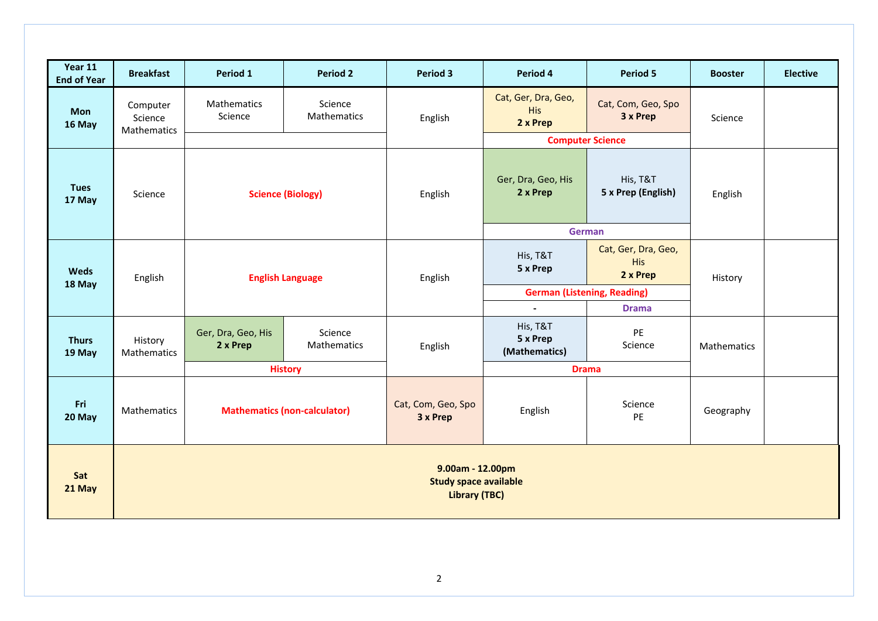| Year 11<br><b>End of Year</b> | <b>Breakfast</b>                                                         | Period 1                            | <b>Period 2</b>        | <b>Period 3</b>                                     | Period 4                                      | <b>Period 5</b>                               | <b>Booster</b> | <b>Elective</b> |
|-------------------------------|--------------------------------------------------------------------------|-------------------------------------|------------------------|-----------------------------------------------------|-----------------------------------------------|-----------------------------------------------|----------------|-----------------|
| Mon<br>16 May                 | Computer<br>Science<br>Mathematics                                       | Mathematics<br>Science              | Science<br>Mathematics | English                                             | Cat, Ger, Dra, Geo,<br><b>His</b><br>2 x Prep | Cat, Com, Geo, Spo<br>3 x Prep                | Science        |                 |
|                               |                                                                          |                                     |                        |                                                     | <b>Computer Science</b>                       |                                               |                |                 |
| <b>Tues</b><br>17 May         | Science                                                                  | <b>Science (Biology)</b>            |                        | Ger, Dra, Geo, His<br>2 x Prep<br>English<br>German |                                               | His, T&T<br>5 x Prep (English)                | English        |                 |
|                               |                                                                          |                                     |                        |                                                     |                                               |                                               |                |                 |
| <b>Weds</b>                   | English                                                                  | <b>English Language</b>             |                        | His, T&T<br>5 x Prep<br>English<br>$\blacksquare$   |                                               | Cat, Ger, Dra, Geo,<br><b>His</b><br>2 x Prep | History        |                 |
| 18 May                        |                                                                          |                                     |                        |                                                     | <b>German (Listening, Reading)</b>            |                                               |                |                 |
|                               |                                                                          |                                     |                        |                                                     |                                               | <b>Drama</b>                                  |                |                 |
| <b>Thurs</b><br>19 May        | History<br>Mathematics                                                   | Ger, Dra, Geo, His<br>2 x Prep      | Science<br>Mathematics | English                                             | His, T&T<br>5 x Prep<br>(Mathematics)         | PE<br>Science                                 | Mathematics    |                 |
|                               |                                                                          | <b>History</b>                      |                        |                                                     | <b>Drama</b>                                  |                                               |                |                 |
| Fri<br>20 May                 | Mathematics                                                              | <b>Mathematics (non-calculator)</b> |                        | Cat, Com, Geo, Spo<br>3 x Prep                      | English                                       | Science<br>PE                                 | Geography      |                 |
| Sat<br>21 May                 | 9.00am - 12.00pm<br><b>Study space available</b><br><b>Library (TBC)</b> |                                     |                        |                                                     |                                               |                                               |                |                 |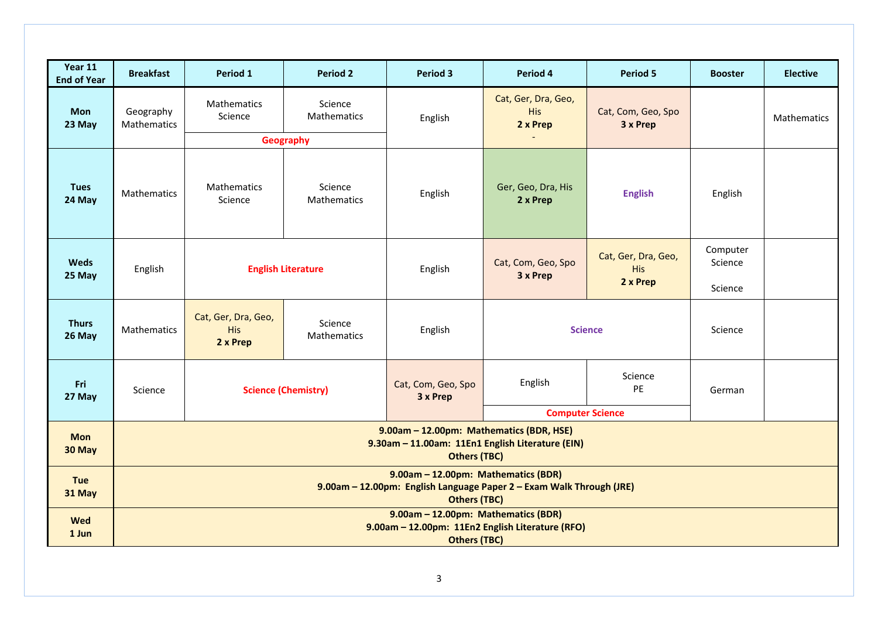| Year 11<br><b>End of Year</b> | <b>Breakfast</b>                                                                                                                   | Period 1                                                                | <b>Period 2</b>               | <b>Period 3</b>                | Period 4                                      | <b>Period 5</b>                               | <b>Booster</b>      | <b>Elective</b> |
|-------------------------------|------------------------------------------------------------------------------------------------------------------------------------|-------------------------------------------------------------------------|-------------------------------|--------------------------------|-----------------------------------------------|-----------------------------------------------|---------------------|-----------------|
| Mon<br>23 May                 | Geography<br>Mathematics                                                                                                           | Mathematics<br>Science                                                  | Science<br><b>Mathematics</b> | English                        | Cat, Ger, Dra, Geo,<br><b>His</b><br>2 x Prep | Cat, Com, Geo, Spo<br>3 x Prep                |                     | Mathematics     |
|                               |                                                                                                                                    |                                                                         | Geography                     |                                |                                               |                                               |                     |                 |
| <b>Tues</b><br>24 May         | Mathematics                                                                                                                        | Mathematics<br>Science                                                  | Science<br>Mathematics        | English                        | Ger, Geo, Dra, His<br>2 x Prep                | <b>English</b>                                | English             |                 |
| <b>Weds</b><br>25 May         | English                                                                                                                            | <b>English Literature</b>                                               |                               | English                        | Cat, Com, Geo, Spo<br>3 x Prep                | Cat, Ger, Dra, Geo,<br><b>His</b><br>2 x Prep | Computer<br>Science |                 |
|                               |                                                                                                                                    |                                                                         |                               |                                |                                               |                                               | Science             |                 |
| <b>Thurs</b><br>26 May        | <b>Mathematics</b>                                                                                                                 | Cat, Ger, Dra, Geo,<br>Science<br><b>His</b><br>Mathematics<br>2 x Prep |                               | English                        | <b>Science</b>                                |                                               | Science             |                 |
| Fri<br>27 May                 | Science                                                                                                                            | <b>Science (Chemistry)</b>                                              |                               | Cat, Com, Geo, Spo<br>3 x Prep | Science<br>English<br>PE                      |                                               | German              |                 |
|                               |                                                                                                                                    |                                                                         |                               |                                | <b>Computer Science</b>                       |                                               |                     |                 |
| <b>Mon</b><br>30 May          | 9.00am - 12.00pm: Mathematics (BDR, HSE)<br>9.30am - 11.00am: 11En1 English Literature (EIN)<br><b>Others (TBC)</b>                |                                                                         |                               |                                |                                               |                                               |                     |                 |
| <b>Tue</b><br>31 May          | 9.00am - 12.00pm: Mathematics (BDR)<br>9.00am - 12.00pm: English Language Paper 2 - Exam Walk Through (JRE)<br><b>Others (TBC)</b> |                                                                         |                               |                                |                                               |                                               |                     |                 |
| <b>Wed</b><br>1 Jun           | 9.00am - 12.00pm: Mathematics (BDR)<br>9.00am - 12.00pm: 11En2 English Literature (RFO)<br><b>Others (TBC)</b>                     |                                                                         |                               |                                |                                               |                                               |                     |                 |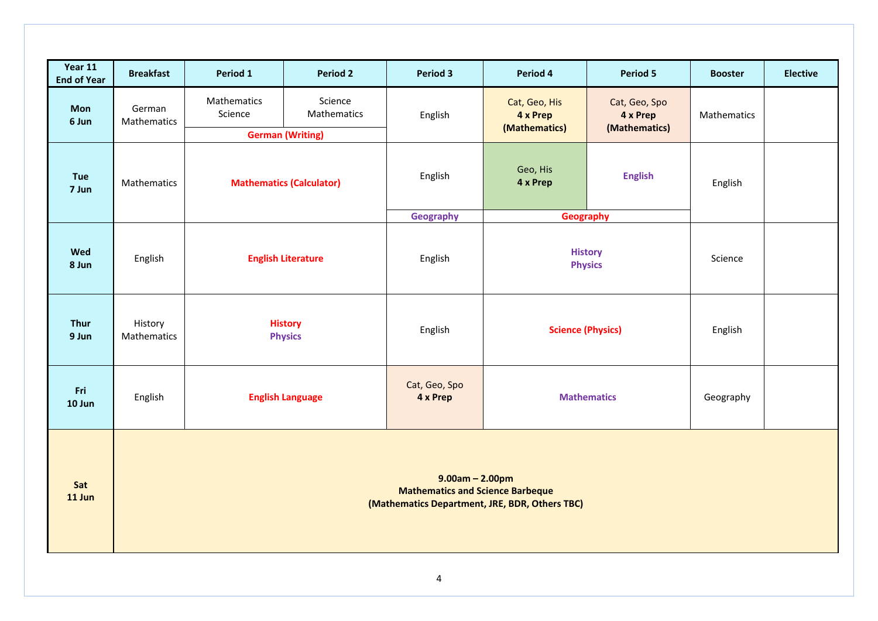| Year 11<br><b>End of Year</b> | <b>Breakfast</b>                                                                                               | Period 1                                                   | <b>Period 2</b>        | <b>Period 3</b>             | Period 4                                             | <b>Period 5</b>                            | <b>Booster</b> | <b>Elective</b> |
|-------------------------------|----------------------------------------------------------------------------------------------------------------|------------------------------------------------------------|------------------------|-----------------------------|------------------------------------------------------|--------------------------------------------|----------------|-----------------|
| Mon<br>6 Jun                  | German<br>Mathematics                                                                                          | Mathematics<br>Science                                     | Science<br>Mathematics | English                     | Cat, Geo, His<br>4 x Prep<br>(Mathematics)           | Cat, Geo, Spo<br>4 x Prep<br>(Mathematics) | Mathematics    |                 |
| <b>Tue</b><br>7 Jun           | Mathematics                                                                                                    | <b>German (Writing)</b><br><b>Mathematics (Calculator)</b> |                        | English                     | Geo, His<br>4 x Prep                                 | <b>English</b>                             | English        |                 |
| Wed<br>8 Jun                  | English                                                                                                        | <b>English Literature</b>                                  |                        | <b>Geography</b><br>English | <b>Geography</b><br><b>History</b><br><b>Physics</b> |                                            | Science        |                 |
| Thur<br>9 Jun                 | History<br>Mathematics                                                                                         | <b>History</b><br><b>Physics</b>                           |                        | English                     | <b>Science (Physics)</b>                             |                                            | English        |                 |
| Fri<br>10 Jun                 | English                                                                                                        | <b>English Language</b>                                    |                        | Cat, Geo, Spo<br>4 x Prep   | <b>Mathematics</b>                                   |                                            | Geography      |                 |
| Sat<br>11 Jun                 | $9.00am - 2.00pm$<br><b>Mathematics and Science Barbeque</b><br>(Mathematics Department, JRE, BDR, Others TBC) |                                                            |                        |                             |                                                      |                                            |                |                 |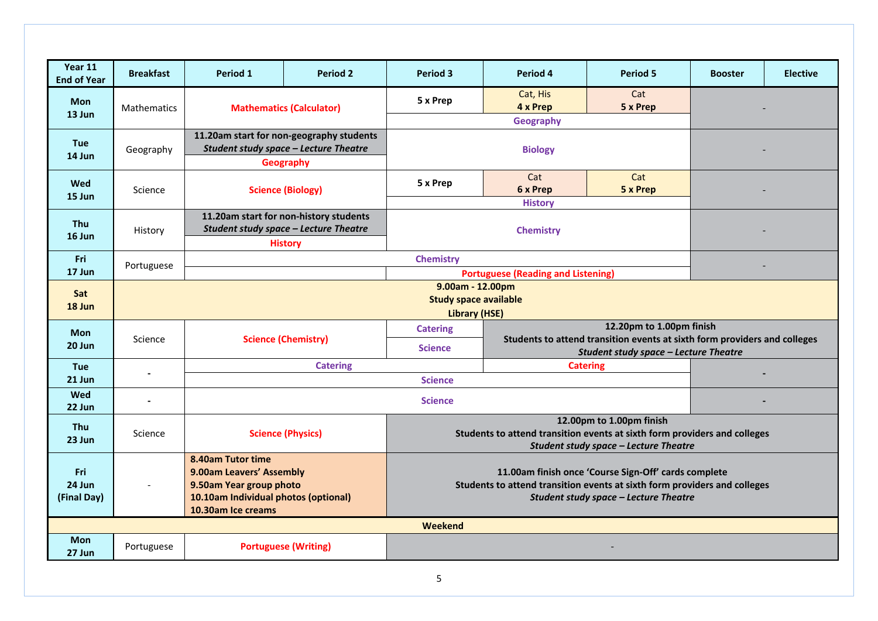| Year 11<br><b>End of Year</b> | <b>Breakfast</b>                                           | Period 1                                                                         | <b>Period 2</b>                          | <b>Period 3</b>                                                                                                           | Period 4                                                                                                           | <b>Period 5</b>          | <b>Booster</b> | <b>Elective</b> |  |  |
|-------------------------------|------------------------------------------------------------|----------------------------------------------------------------------------------|------------------------------------------|---------------------------------------------------------------------------------------------------------------------------|--------------------------------------------------------------------------------------------------------------------|--------------------------|----------------|-----------------|--|--|
| <b>Mon</b><br>13 Jun          | <b>Mathematics</b>                                         | <b>Mathematics (Calculator)</b>                                                  |                                          | 5 x Prep                                                                                                                  | Cat, His<br>4 x Prep                                                                                               | Cat<br>5 x Prep          |                |                 |  |  |
|                               |                                                            |                                                                                  |                                          |                                                                                                                           | <b>Geography</b>                                                                                                   |                          |                |                 |  |  |
| <b>Tue</b>                    |                                                            |                                                                                  | 11.20am start for non-geography students |                                                                                                                           |                                                                                                                    |                          |                |                 |  |  |
| 14 Jun                        | Geography                                                  | Student study space - Lecture Theatre<br>Geography                               |                                          |                                                                                                                           | <b>Biology</b>                                                                                                     |                          |                |                 |  |  |
|                               |                                                            |                                                                                  |                                          |                                                                                                                           | Cat                                                                                                                | Cat                      |                |                 |  |  |
| Wed                           | Science                                                    |                                                                                  | <b>Science (Biology)</b>                 | 5 x Prep                                                                                                                  | 6 x Prep                                                                                                           | 5 x Prep                 |                |                 |  |  |
| 15 Jun                        |                                                            |                                                                                  |                                          |                                                                                                                           | <b>History</b>                                                                                                     |                          |                |                 |  |  |
| Thu                           |                                                            |                                                                                  | 11.20am start for non-history students   |                                                                                                                           |                                                                                                                    |                          |                |                 |  |  |
| $16$ Jun                      | History                                                    | <b>Student study space - Lecture Theatre</b>                                     |                                          | <b>Chemistry</b>                                                                                                          |                                                                                                                    |                          |                |                 |  |  |
|                               |                                                            |                                                                                  | <b>History</b>                           |                                                                                                                           |                                                                                                                    |                          |                |                 |  |  |
| Fri<br>17 Jun                 | Portuguese                                                 |                                                                                  |                                          | <b>Chemistry</b>                                                                                                          |                                                                                                                    |                          |                |                 |  |  |
|                               |                                                            | <b>Portuguese (Reading and Listening)</b><br>9.00am - 12.00pm                    |                                          |                                                                                                                           |                                                                                                                    |                          |                |                 |  |  |
| Sat                           | <b>Study space available</b>                               |                                                                                  |                                          |                                                                                                                           |                                                                                                                    |                          |                |                 |  |  |
| 18 Jun                        |                                                            | <b>Library (HSE)</b>                                                             |                                          |                                                                                                                           |                                                                                                                    |                          |                |                 |  |  |
| <b>Mon</b>                    |                                                            | <b>Science (Chemistry)</b>                                                       |                                          | <b>Catering</b>                                                                                                           | 12.20pm to 1.00pm finish                                                                                           |                          |                |                 |  |  |
| 20 Jun                        | Science                                                    |                                                                                  |                                          | <b>Science</b>                                                                                                            | Students to attend transition events at sixth form providers and colleges<br>Student study space - Lecture Theatre |                          |                |                 |  |  |
| <b>Tue</b>                    |                                                            |                                                                                  | <b>Catering</b>                          |                                                                                                                           | <b>Catering</b>                                                                                                    |                          |                |                 |  |  |
| 21 Jun                        |                                                            |                                                                                  |                                          | <b>Science</b>                                                                                                            |                                                                                                                    |                          |                |                 |  |  |
| Wed                           |                                                            |                                                                                  |                                          |                                                                                                                           |                                                                                                                    |                          |                |                 |  |  |
| 22 Jun                        |                                                            |                                                                                  |                                          | <b>Science</b>                                                                                                            |                                                                                                                    |                          |                |                 |  |  |
| Thu                           |                                                            |                                                                                  |                                          |                                                                                                                           |                                                                                                                    | 12.00pm to 1.00pm finish |                |                 |  |  |
| 23 Jun                        | Science                                                    | <b>Science (Physics)</b>                                                         |                                          | Students to attend transition events at sixth form providers and colleges<br><b>Student study space - Lecture Theatre</b> |                                                                                                                    |                          |                |                 |  |  |
|                               |                                                            | 8.40am Tutor time                                                                |                                          |                                                                                                                           |                                                                                                                    |                          |                |                 |  |  |
| Fri                           |                                                            | 9.00am Leavers' Assembly<br>11.00am finish once 'Course Sign-Off' cards complete |                                          |                                                                                                                           |                                                                                                                    |                          |                |                 |  |  |
| 24 Jun                        |                                                            | 9.50am Year group photo                                                          |                                          |                                                                                                                           | Students to attend transition events at sixth form providers and colleges                                          |                          |                |                 |  |  |
| (Final Day)                   | 10.10am Individual photos (optional)<br>10.30am Ice creams |                                                                                  |                                          | <b>Student study space - Lecture Theatre</b>                                                                              |                                                                                                                    |                          |                |                 |  |  |
|                               | Weekend                                                    |                                                                                  |                                          |                                                                                                                           |                                                                                                                    |                          |                |                 |  |  |
| <b>Mon</b>                    |                                                            |                                                                                  |                                          |                                                                                                                           |                                                                                                                    |                          |                |                 |  |  |
| 27 Jun                        | Portuguese                                                 |                                                                                  | <b>Portuguese (Writing)</b>              |                                                                                                                           |                                                                                                                    |                          |                |                 |  |  |